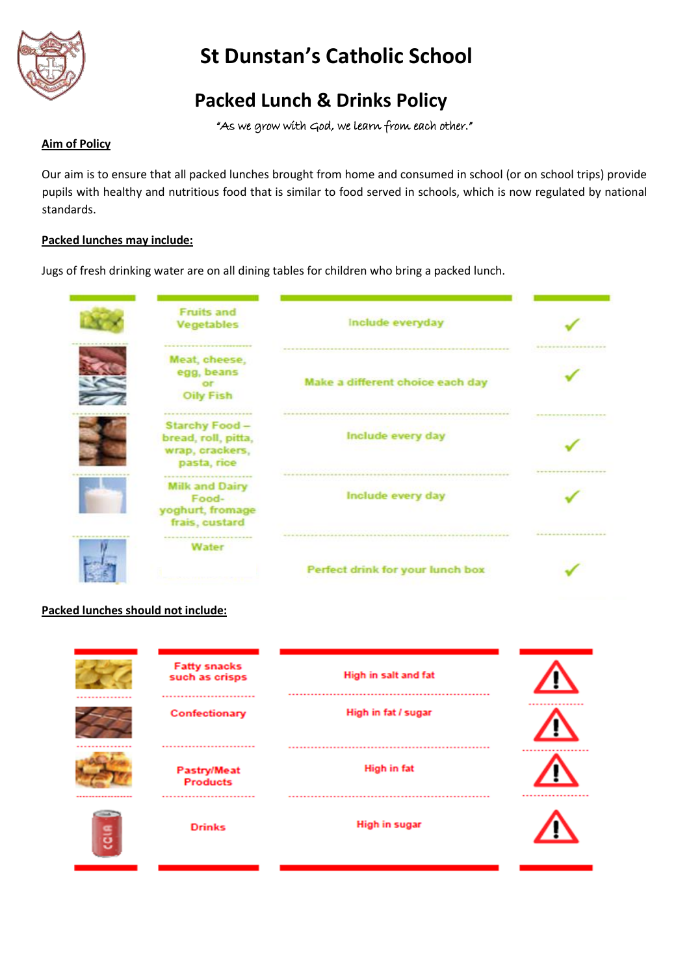

# **St Dunstan's Catholic School**

### **Packed Lunch & Drinks Policy**

"As we grow with God, we learn from each other."

### **Aim of Policy**

Our aim is to ensure that all packed lunches brought from home and consumed in school (or on school trips) provide pupils with healthy and nutritious food that is similar to food served in schools, which is now regulated by national standards.

### **Packed lunches may include:**

Jugs of fresh drinking water are on all dining tables for children who bring a packed lunch.

|                 | <b>Fruits and</b><br>Vegetables                                                   | Include everyday                 |                                             |
|-----------------|-----------------------------------------------------------------------------------|----------------------------------|---------------------------------------------|
| --------------- | ***********************<br>Meat, cheese,<br>egg, beans<br><b>Oily Fish</b>        | Make a different choice each day | ******************                          |
|                 | <br><b>Starchy Food-</b><br>bread, roll, pitta,<br>wrap, crackers,<br>pasta, rice | Include every day                | <b></b><br><b></b>                          |
|                 | <br><b>Milk and Dairy</b><br>Food-<br>yoghurt, fromage<br>frais, custard          | Include every day                |                                             |
|                 | <b>***********************</b><br>Water                                           | Perfect drink for your lunch box | <b><i><u><u>AFFERAARDERAARD</u></u></i></b> |

### **Packed lunches should not include:**

|                   | <b>Fatty snacks</b><br>such as crisps<br>------------------------ | High in salt and fat |      |
|-------------------|-------------------------------------------------------------------|----------------------|------|
|                   | Confectionary<br>------------------------                         | High in fat / sugar  |      |
| ----------------- | Pastry/Meat<br><b>Products</b><br>------------------------        | <b>High in fat</b>   | <br> |
| g<br>G            | <b>Drinks</b>                                                     | High in sugar        |      |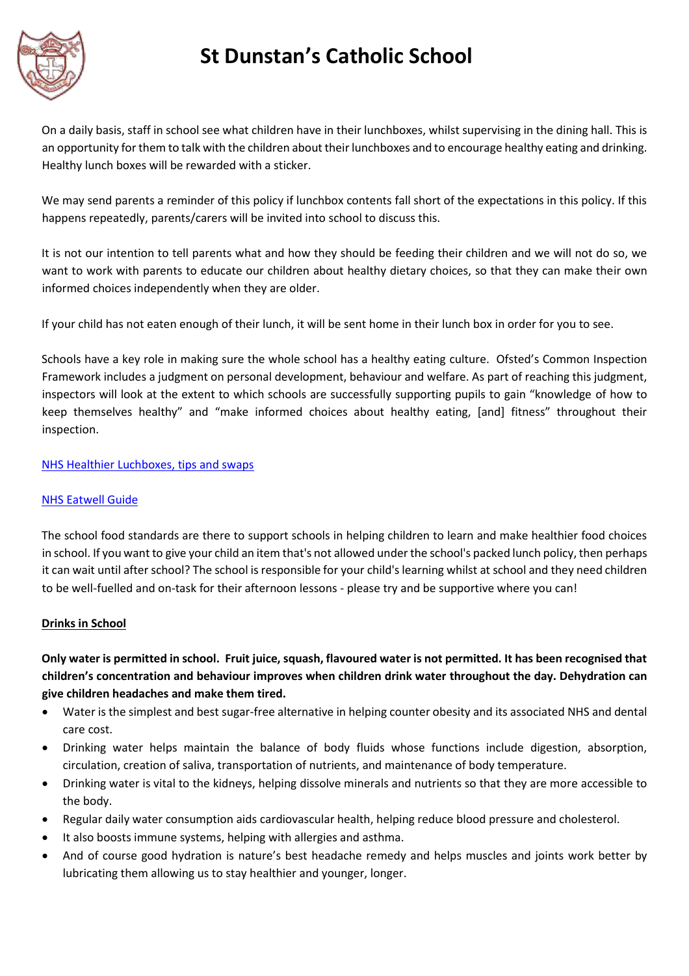

# **St Dunstan's Catholic School**

On a daily basis, staff in school see what children have in their lunchboxes, whilst supervising in the dining hall. This is an opportunity for them to talk with the children about their lunchboxes and to encourage healthy eating and drinking. Healthy lunch boxes will be rewarded with a sticker.

We may send parents a reminder of this policy if lunchbox contents fall short of the expectations in this policy. If this happens repeatedly, parents/carers will be invited into school to discuss this.

It is not our intention to tell parents what and how they should be feeding their children and we will not do so, we want to work with parents to educate our children about healthy dietary choices, so that they can make their own informed choices independently when they are older.

If your child has not eaten enough of their lunch, it will be sent home in their lunch box in order for you to see.

Schools have a key role in making sure the whole school has a healthy eating culture. Ofsted's Common Inspection Framework includes a judgment on personal development, behaviour and welfare. As part of reaching this judgment, inspectors will look at the extent to which schools are successfully supporting pupils to gain "knowledge of how to keep themselves healthy" and "make informed choices about healthy eating, [and] fitness" throughout their inspection.

#### [NHS Healthier Luchboxes, tips and swaps](https://www.nhs.uk/healthier-families/recipes/healthier-lunchboxes/)

### [NHS Eatwell Guide](https://www.nhs.uk/live-well/eat-well/the-eatwell-guide/)

The school food standards are there to support schools in helping children to learn and make healthier food choices in school. If you want to give your child an item that's not allowed under the school's packed lunch policy, then perhaps it can wait until after school? The school is responsible for your child's learning whilst at school and they need children to be well-fuelled and on-task for their afternoon lessons - please try and be supportive where you can!

### **Drinks in School**

**Only water is permitted in school. Fruit juice, squash, flavoured water is not permitted. It has been recognised that children's concentration and behaviour improves when children drink water throughout the day. Dehydration can give children headaches and make them tired.** 

- Water is the simplest and best sugar-free alternative in helping counter obesity and its associated NHS and dental care cost.
- Drinking water helps maintain the balance of body fluids whose functions include digestion, absorption, circulation, creation of saliva, transportation of nutrients, and maintenance of body temperature.
- Drinking water is vital to the kidneys, helping dissolve minerals and nutrients so that they are more accessible to the body.
- Regular daily water consumption aids cardiovascular health, helping reduce blood pressure and cholesterol.
- It also boosts immune systems, helping with allergies and asthma.
- And of course good hydration is nature's best headache remedy and helps muscles and joints work better by lubricating them allowing us to stay healthier and younger, longer.